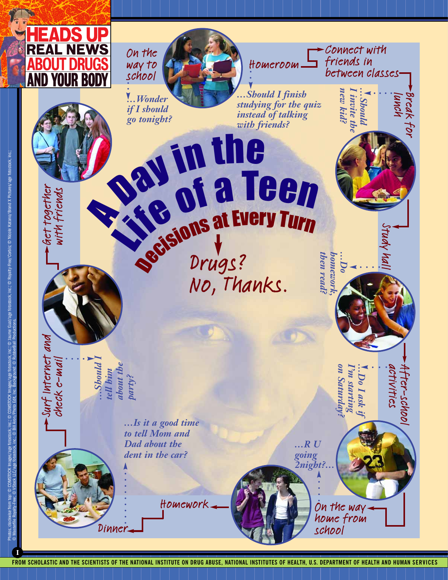

On the way to school

*…Wonder if I should* 

**Part in the Sale of a To** 

**Say of a Te** 

Homeroom

*go tonight? instead of talking …Should I finish studying for the quiz with friends?*

en

*…Should I tell him about the party?*

Dinner

*…Is it a good time to tell Mom and Dad about the dent in the car?*

*…R U going 2night?…*

> On the way home from

*on Saturday? I'm starting …Do I ask if*

Do I ask

on Saturday  $sums$  and  $m_{\epsilon}$ 

*then read? homework, …Do*

then read: **OMCWOT** 

school

Study hall

lunch Break for

Connect with friends in

> *new kid? I invite the …Should*

new kid? invite the **Should** 

between classes

activities After-school

activities Fter-schoo

Homework

Drugs?

**Regions at Every Turn**<br>Regisions drugs?

Drugs?<br>No, Thanks.

Get together with friends

Surf Internet and

surf Internet ano

check e-mail

treck e-mal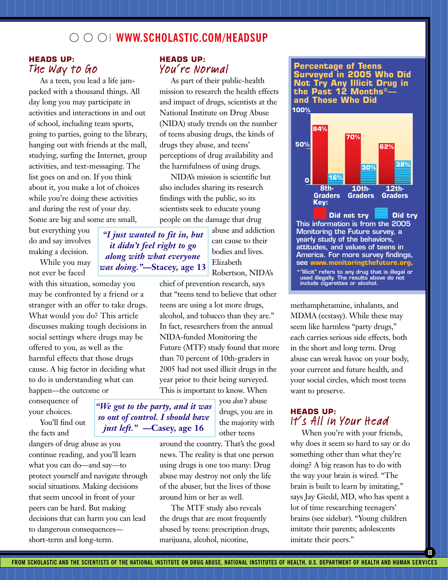### **WWW.SCHOLASTIC.COM/HEADSUP**

#### **HEADS UP:**  The Way to Go

As a teen, you lead a life jampacked with a thousand things. All day long you may participate in activities and interactions in and out of school, including team sports, going to parties, going to the library, hanging out with friends at the mall, studying, surfing the Internet, group activities, and text-messaging. The list goes on and on. If you think about it, you make a lot of choices while you're doing these activities and during the rest of your day. Some are big and some are small,

but everything you do and say involves making a decision.

While you may not ever be faced

with this situation, someday you may be confronted by a friend or a stranger with an offer to take drugs. What would you do? This article discusses making tough decisions in social settings where drugs may be offered to you, as well as the harmful effects that those drugs cause. A big factor in deciding what to do is understanding what can happen—the outcome or

consequence of your choices.

You'll find out the facts and

dangers of drug abuse as you continue reading, and you'll learn what you can do—and say—to protect yourself and navigate through social situations. Making decisions that seem uncool in front of your peers can be hard. But making decisions that can harm you can lead to dangerous consequences short-term and long-term.

### **HEADS UP:** You're Normal

As part of their public-health mission to research the health effects and impact of drugs, scientists at the National Institute on Drug Abuse (NIDA) study trends on the number of teens abusing drugs, the kinds of drugs they abuse, and teens' perceptions of drug availability and the harmfulness of using drugs.

NIDA's mission is scientific but also includes sharing its research findings with the public, so its scientists seek to educate young people on the damage that drug

> abuse and addiction can cause to their bodies and lives. Elizabeth Robertson, NIDA's

chief of prevention research, says that "teens tend to believe that other teens are using a lot more drugs, alcohol, and tobacco than they are." In fact, researchers from the annual NIDA-funded Monitoring the Future (MTF) study found that more than 70 percent of 10th-graders in 2005 had not used illicit drugs in the year prior to their being surveyed. This is important to know. When

> you *don't* abuse drugs, you are in the majority with other teens

around the country. That's the good news. The reality is that one person using drugs is one too many: Drug abuse may destroy not only the life of the abuser, but the lives of those around him or her as well.

The MTF study also reveals the drugs that are most frequently abused by teens: prescription drugs, marijuana, alcohol, nicotine,

**100% Percentage of Teens Surveyed in 2005 Who Did Not Try Any Illicit Drug in the Past 12 Months\* and Those Who Did**



methamphetamine, inhalants, and MDMA (ecstasy). While these may seem like harmless "party drugs," each carries serious side effects, both in the short and long term. Drug abuse can wreak havoc on your body, your current and future health, and your social circles, which most teens want to preserve.

### **HEADS UP:** It's All in Your Head

When you're with your friends, why does it seem so hard to say or do something other than what they're doing? A big reason has to do with the way your brain is wired. "The brain is built to learn by imitating," says Jay Giedd, MD, who has spent a lot of time researching teenagers' brains (see sidebar). "Young children imitate their parents; adolescents imitate their peers."

**II**

*"I just wanted to fit in, but it didn't feel right to go along with what everyone was doing."***—Stacey, age 13**

*"We got to the party, and it was so out of control. I should have just left."* **—Casey, age 16**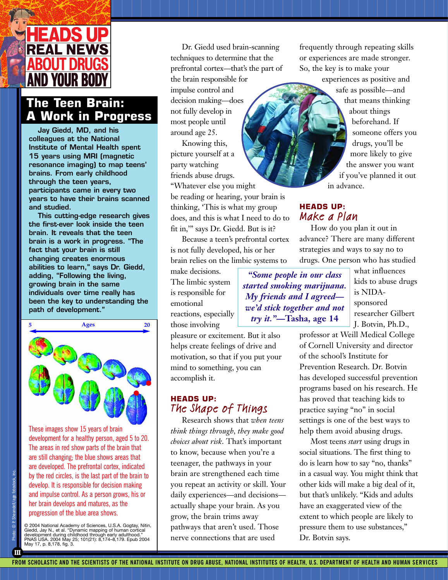

## **The Teen Brain: A Work in Progress**

**Jay Giedd, MD, and his colleagues at the National Institute of Mental Health spent 15 years using MRI (magnetic resonance imaging) to map teens' brains. From early childhood through the teen years, participants came in every two years to have their brains scanned and studied.**

**This cutting-edge research gives the first-ever look inside the teen brain. It reveals that the teen brain is a work in progress. "The fact that your brain is still changing creates enormous abilities to learn," says Dr. Giedd, adding, "Following the living, growing brain in the same individuals over time really has been the key to understanding the path of development."**



These images show 15 years of brain development for a healthy person, aged 5 to 20. The areas in red show parts of the brain that are still changing; the blue shows areas that are developed. The prefrontal cortex, indicated by the red circles, is the last part of the brain to develop. It is responsible for decision making and impulse control. As a person grows, his or her brain develops and matures, as the progression of the blue area shows.

© 2004 National Academy of Sciences, U.S.A. Gogtay, Nitin,<br>Giedd, Jay N., et al. "Dynamic mapping of human cortical<br>development during childhood through early adulthood."<br>PNAS USA. 2004 May 25; 101(21): 8,174–8,179. Epub 2 May 17, p. 8,178, fig. 3.

Dr. Giedd used brain-scanning techniques to determine that the prefrontal cortex—that's the part of the brain responsible for impulse control and decision making—does not fully develop in most people until around age 25.

Knowing this, picture yourself at a party watching friends abuse drugs. "Whatever else you might be reading or hearing, your brain is thinking, 'This is what my group does, and this is what I need to do to fit in,'" says Dr. Giedd. But is it?

Because a teen's prefrontal cortex is not fully developed, his or her brain relies on the limbic systems to

pleasure or excitement. But it also helps create feelings of drive and motivation, so that if you put your mind to something, you can

The Shape of Things

Research shows that *when teens think things through, they make good choices about risk*. That's important to know, because when you're a teenager, the pathways in your brain are strengthened each time you repeat an activity or skill. Your daily experiences—and decisions actually shape your brain. As you grow, the brain trims away pathways that aren't used. Those nerve connections that are used

make decisions. The limbic system is responsible for emotional reactions, especially those involving

accomplish it.

**HEADS UP:**

*started smoking marijuana. My friends and I agreed we'd stick together and not try it."***—Tasha, age 14**

what influences kids to abuse drugs is NIDAsponsored researcher Gilbert J. Botvin, Ph.D.,

professor at Weill Medical College of Cornell University and director of the school's Institute for Prevention Research. Dr. Botvin has developed successful prevention programs based on his research. He has proved that teaching kids to practice saying "no" in social settings is one of the best ways to help them avoid abusing drugs.

Most teens *start* using drugs in social situations. The first thing to do is learn how to say "no, thanks" in a casual way. You might think that other kids will make a big deal of it, but that's unlikely. "Kids and adults have an exaggerated view of the extent to which people are likely to pressure them to use substances," Dr. Botvin says.

advance? There are many different strategies and ways to say no to drugs. One person who has studied *"Some people in our class*

**HEADS UP:** Make a Plan

in advance.

How do you plan it out in

frequently through repeating skills or experiences are made stronger. So, the key is to make your

> experiences as positive and safe as possible—and that means thinking about things beforehand. If someone offers you drugs, you'll be more likely to give the answer you want if you've planned it out

**III**

Photo: © P. Sheandell/age fotostock, inc.